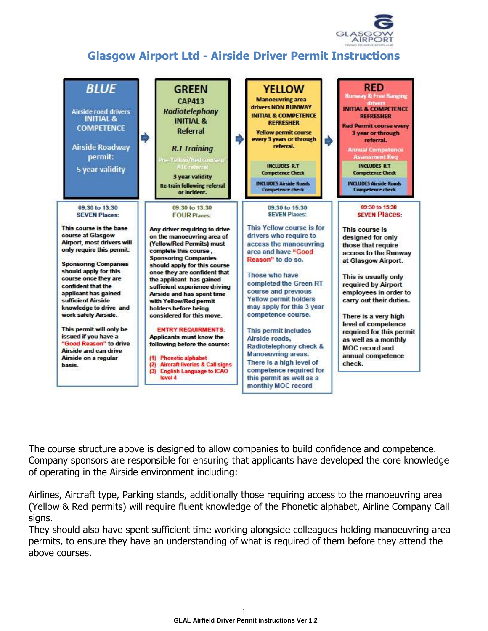

## **Glasgow Airport Ltd - Airside Driver Permit Instructions**



The course structure above is designed to allow companies to build confidence and competence. Company sponsors are responsible for ensuring that applicants have developed the core knowledge of operating in the Airside environment including:

Airlines, Aircraft type, Parking stands, additionally those requiring access to the manoeuvring area (Yellow & Red permits) will require fluent knowledge of the Phonetic alphabet, Airline Company Call signs.

They should also have spent sufficient time working alongside colleagues holding manoeuvring area permits, to ensure they have an understanding of what is required of them before they attend the above courses.